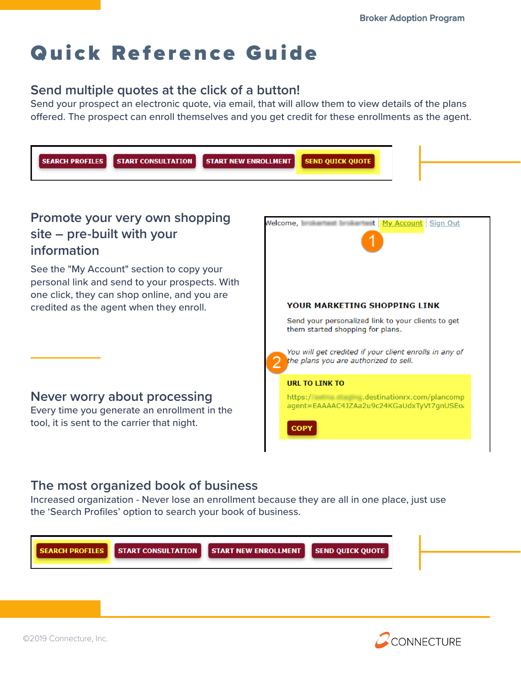# Quick Reference Guide

## **Send multiple quotes at the click of a button!**

Send your prospect an electronic quote, via email, that will allow them to view details of the plans offered. The prospect can enroll themselves and you get credit for these enrollments as the agent.



### **The most organized book of business**

Increased organization - Never lose an enrollment because they are all in one place, just use the 'Search Profiles' option to search your book of business.



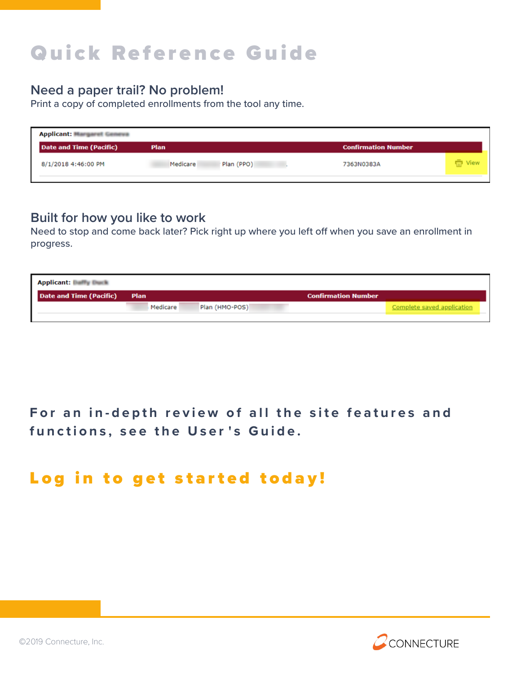# Quick Reference Guide

#### **Need a paper trail? No problem!**

Print a copy of completed enrollments from the tool any time.

| <b>Applicant: Margaret Geneva</b> |                        |                            |                  |
|-----------------------------------|------------------------|----------------------------|------------------|
| Date and Time (Pacific)           | Plan                   | <b>Confirmation Number</b> |                  |
| 8/1/2018 4:46:00 PM               | Medicare<br>Plan (PPO) | 7363N0383A                 | <b>Tall</b> View |

#### **Built for how you like to work**

Need to stop and come back later? Pick right up where you left off when you save an enrollment in progress.

| <b>Applicant: Builfly Bluelk</b> |          |                |                            |                            |
|----------------------------------|----------|----------------|----------------------------|----------------------------|
| Date and Time (Pacific) Plan     |          |                | <b>Confirmation Number</b> |                            |
|                                  | Medicare | Plan (HMO-POS) |                            | Complete saved application |
|                                  |          |                |                            |                            |

# **F o r a n in-depth review of all t he si t e features and f u nctions, see the User ' s Guide.**

# Log in to get started today!

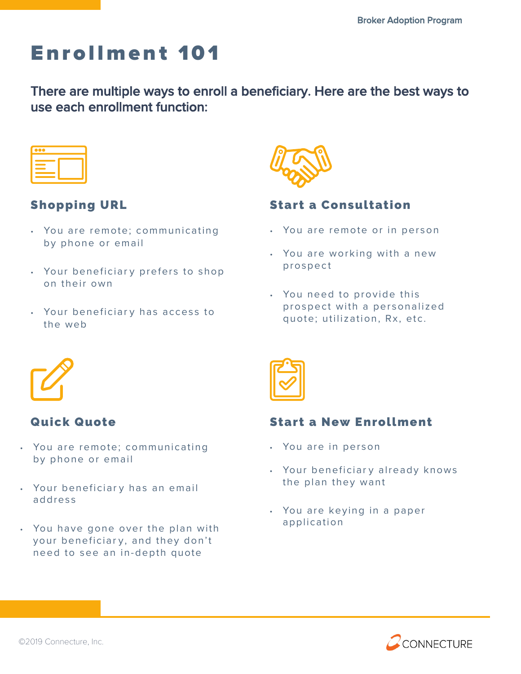# E nrollment 101

There are multiple ways to enroll a beneficiary. Here are the best ways to use each enrollment function:

|         | $\mathcal{L}^{\text{max}}_{\text{max}}$ and $\mathcal{L}^{\text{max}}_{\text{max}}$ and $\mathcal{L}^{\text{max}}_{\text{max}}$ and $\mathcal{L}^{\text{max}}_{\text{max}}$ |
|---------|-----------------------------------------------------------------------------------------------------------------------------------------------------------------------------|
|         |                                                                                                                                                                             |
| _______ |                                                                                                                                                                             |

# Shopping URL

- You are remote; communicating by phone or email
- Your beneficiary prefers to shop on their own
- Your beneficiar y has access to the web



### Start a Consultation

- You are remote or in person
- You are working with a new prospect
- You need to provide this prospect with a personalized quote; utilization, Rx, etc.



## **Quick Quote**

- You are remote; communicating by phone or email
- Your beneficiary has an email addres s
- You have gone over the plan with your beneficiar y, and they don't need to see an in-depth quote

### Start a New Enrollment

- You are in person
- Your beneficiary already knows the plan they want
- You are keying in a paper application

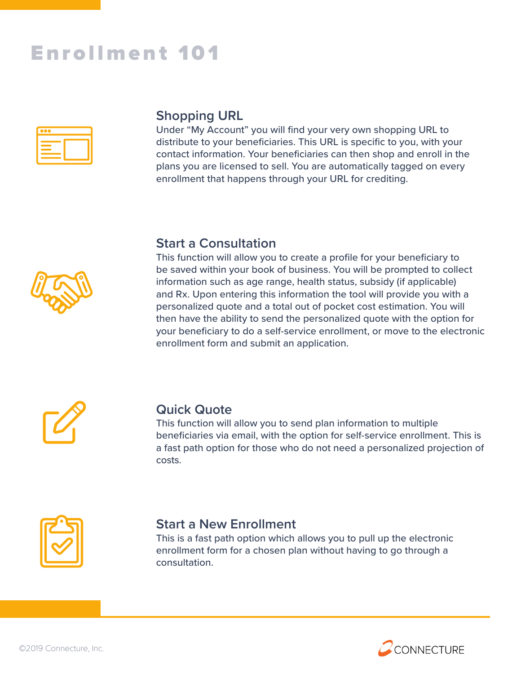# Enrollment 101



## **Shopping URL**

Under "My Account" you will find your very own shopping URL to distribute to your beneficiaries. This URL is specific to you, with your contact information. Your beneficiaries can then shop and enroll in the plans you are licensed to sell. You are automatically tagged on every enrollment that happens through your URL for crediting.



#### **Start a Consultation**

This function will allow you to create a profile for your beneficiary to be saved within your book of business. You will be prompted to collect information such as age range, health status, subsidy (if applicable) and Rx. Upon entering this information the tool will provide you with a personalized quote and a total out of pocket cost estimation. You will then have the ability to send the personalized quote with the option for your beneficiary to do a self-service enrollment, or move to the electronic enrollment form and submit an application.



#### **Quick Quote**

This function will allow you to send plan information to multiple beneficiaries via email, with the option for self-service enrollment. This is a fast path option for those who do not need a personalized projection of costs.



#### **Start a New Enrollment**

This is a fast path option which allows you to pull up the electronic enrollment form for a chosen plan without having to go through a consultation.